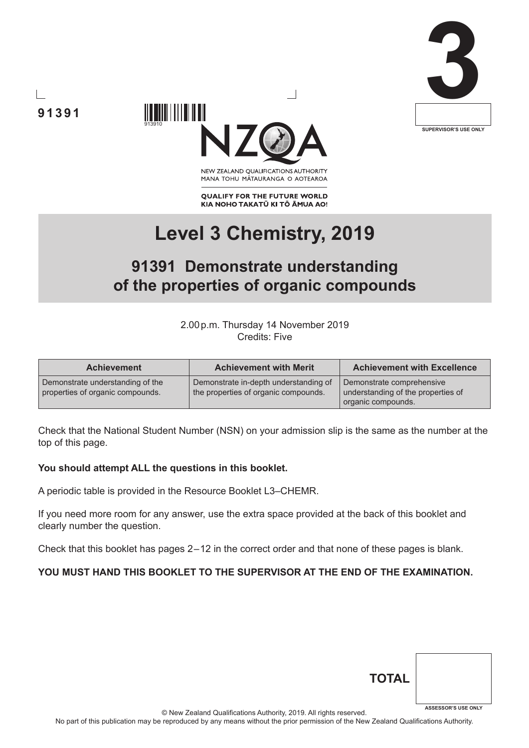





NEW ZEALAND OUALIFICATIONS AUTHORITY MANA TOHU MĀTAURANGA O AOTEAROA

**QUALIFY FOR THE FUTURE WORLD** KIA NOHO TAKATŪ KI TŌ ĀMUA AO!

# **Level 3 Chemistry, 2019**

## **91391 Demonstrate understanding of the properties of organic compounds**

2.00p.m. Thursday 14 November 2019 Credits: Five

| <b>Achievement</b>                                                   | <b>Achievement with Merit</b>                                                 | <b>Achievement with Excellence</b>                                                    |
|----------------------------------------------------------------------|-------------------------------------------------------------------------------|---------------------------------------------------------------------------------------|
| Demonstrate understanding of the<br>properties of organic compounds. | Demonstrate in-depth understanding of<br>the properties of organic compounds. | Demonstrate comprehensive<br>understanding of the properties of<br>organic compounds. |

Check that the National Student Number (NSN) on your admission slip is the same as the number at the top of this page.

#### **You should attempt ALL the questions in this booklet.**

A periodic table is provided in the Resource Booklet L3–CHEMR.

If you need more room for any answer, use the extra space provided at the back of this booklet and clearly number the question.

Check that this booklet has pages 2 – 12 in the correct order and that none of these pages is blank.

### **YOU MUST HAND THIS BOOKLET TO THE SUPERVISOR AT THE END OF THE EXAMINATION.**

| <b>TOTAL</b> |                            |
|--------------|----------------------------|
|              | <b>ASSESSOR'S USE ONLY</b> |

© New Zealand Qualifications Authority, 2019. All rights reserved.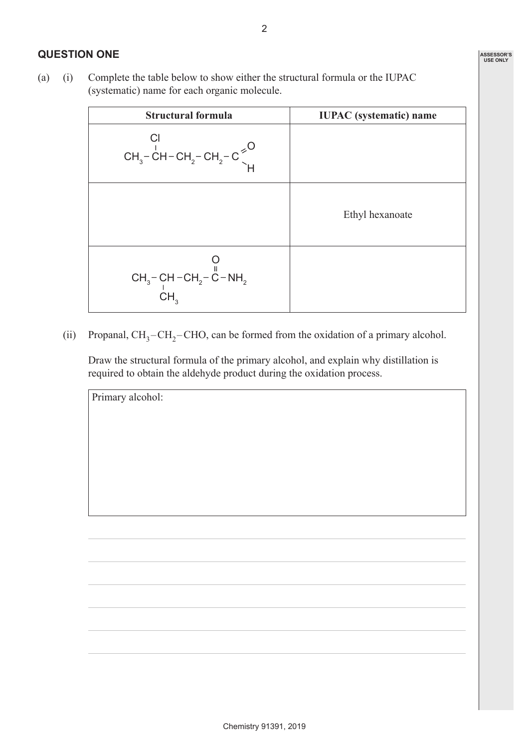### **QUESTION ONE**

(a) (i) Complete the table below to show either the structural formula or the IUPAC (systematic) name for each organic molecule.

| <b>Structural formula</b>                                                       | <b>IUPAC</b> (systematic) name |
|---------------------------------------------------------------------------------|--------------------------------|
| $CH_3$ -CH-CH <sub>2</sub> -CH <sub>2</sub> -C <sup>2</sup>                     |                                |
|                                                                                 | Ethyl hexanoate                |
| CH <sub>3</sub> – CH – CH <sub>2</sub> – C – NH <sub>2</sub><br>CH <sub>3</sub> |                                |

(ii) Propanal,  $CH_3-CH_2$ -CHO, can be formed from the oxidation of a primary alcohol.

 Draw the structural formula of the primary alcohol, and explain why distillation is required to obtain the aldehyde product during the oxidation process.

Primary alcohol: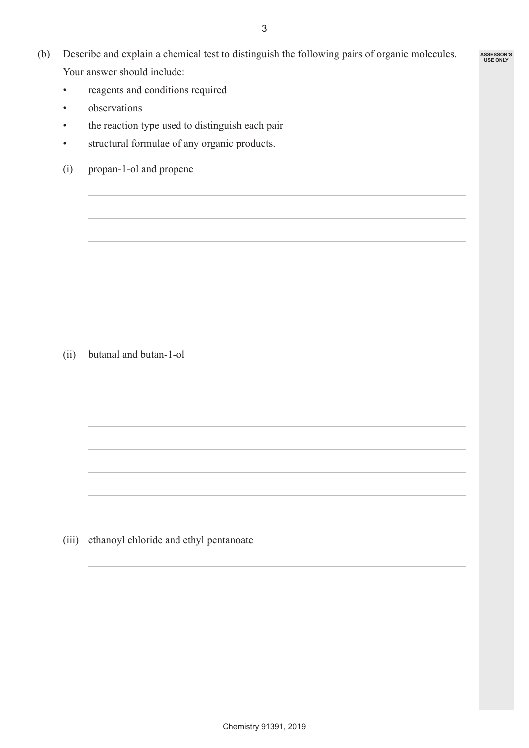- (b) Describe and explain a chemical test to distinguish the following pairs of organic molecules. Your answer should include:
	- reagents and conditions required
	- observations
	- the reaction type used to distinguish each pair
	- structural formulae of any organic products.
	- (i) propan-1-ol and propene

(ii) butanal and butan-1-ol

(iii) ethanoyl chloride and ethyl pentanoate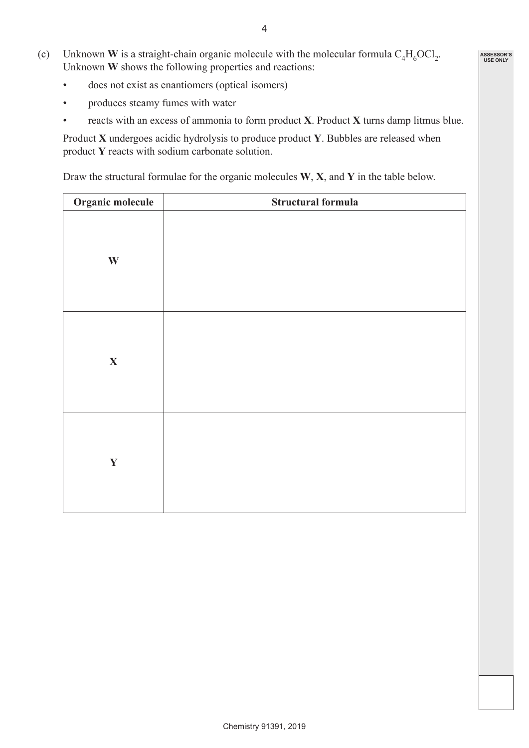- (c) Unknown **W** is a straight-chain organic molecule with the molecular formula  $C_4H_6OCl_2$ . Unknown **W** shows the following properties and reactions:
	- does not exist as enantiomers (optical isomers)
	- produces steamy fumes with water
	- reacts with an excess of ammonia to form product **X**. Product **X** turns damp litmus blue.

Product **X** undergoes acidic hydrolysis to produce product **Y**. Bubbles are released when product **Y** reacts with sodium carbonate solution.

Draw the structural formulae for the organic molecules **W**, **X**, and **Y** in the table below.

| Organic molecule | Structural formula |
|------------------|--------------------|
| $\mathbf{W}$     |                    |
| $\mathbf X$      |                    |
| $\mathbf Y$      |                    |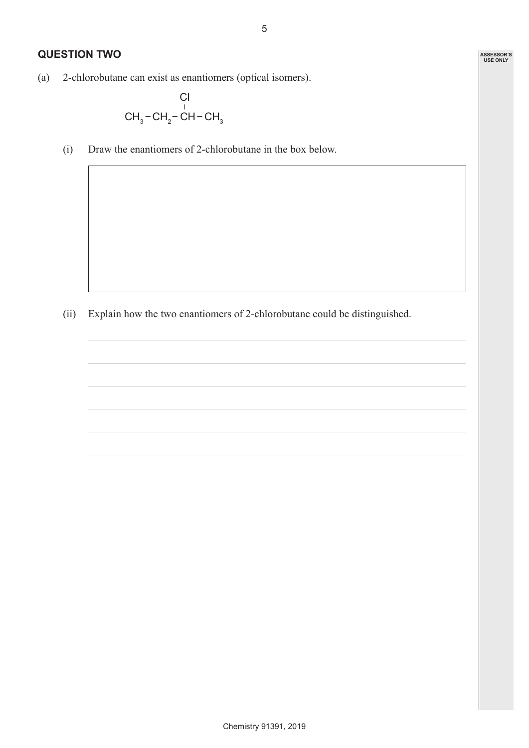**ASSESSOR'S USE ONLY**

### **QUESTION TWO**

(a) 2-chlorobutane can exist as enantiomers (optical isomers).

$$
\begin{array}{c}\n\text{Cl} \\
\text{CH}_3-\text{CH}_2-\text{CH}-\text{CH}_3\n\end{array}
$$

(i) Draw the enantiomers of 2-chlorobutane in the box below.

(ii) Explain how the two enantiomers of 2-chlorobutane could be distinguished.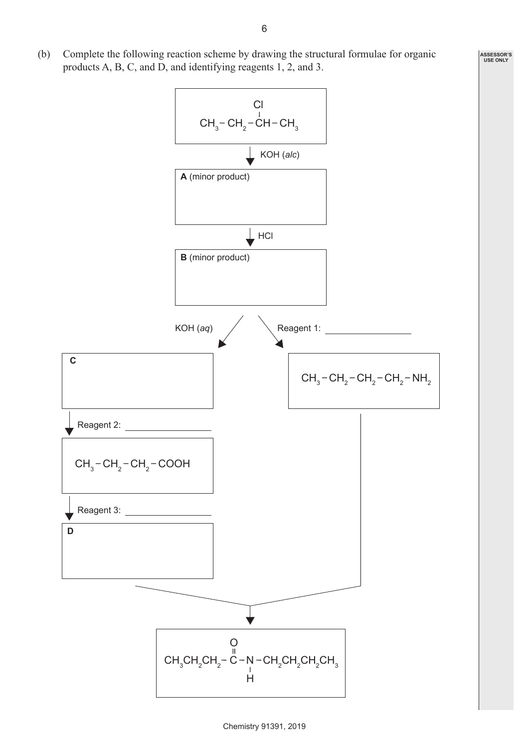(b) Complete the following reaction scheme by drawing the structural formulae for organic products A, B, C, and D, and identifying reagents 1, 2, and 3.

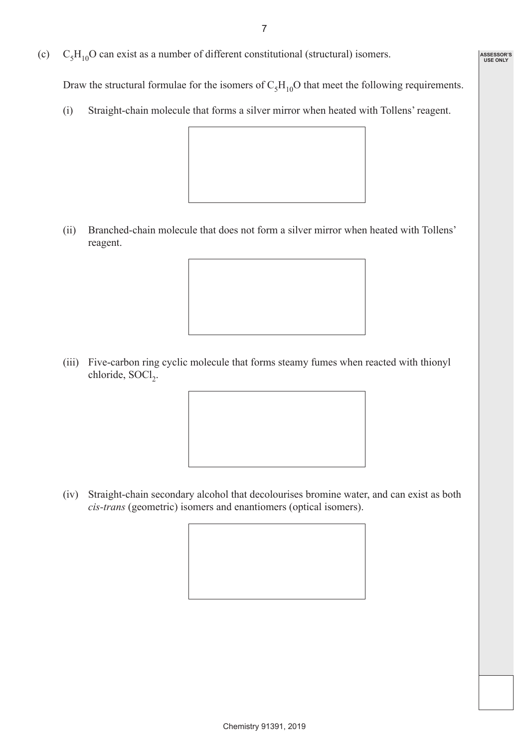**ASSESSOR'S USE ONLY**

(c)  $C_5H_{10}O$  can exist as a number of different constitutional (structural) isomers.

Draw the structural formulae for the isomers of  $C_5H_{10}O$  that meet the following requirements.

(i) Straight-chain molecule that forms a silver mirror when heated with Tollens' reagent.



(ii) Branched-chain molecule that does not form a silver mirror when heated with Tollens' reagent.



(iii) Five-carbon ring cyclic molecule that forms steamy fumes when reacted with thionyl chloride, SOCl<sub>2</sub>.



(iv) Straight-chain secondary alcohol that decolourises bromine water, and can exist as both *cis-trans* (geometric) isomers and enantiomers (optical isomers).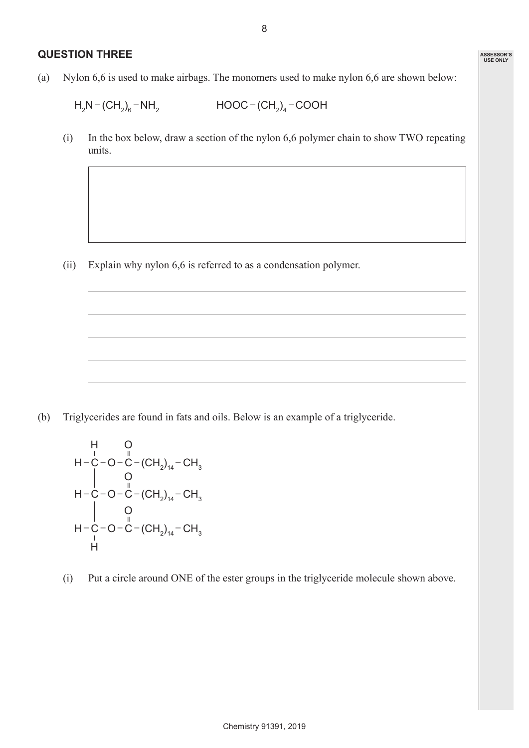#### **QUESTION THREE**

(a) Nylon 6,6 is used to make airbags. The monomers used to make nylon 6,6 are shown below:

 $H_2N - (CH_2)_6$  $-MH_2$   $HOOC - (CH_2)_4 - COOH$ 

(i) In the box below, draw a section of the nylon 6,6 polymer chain to show TWO repeating units.

(ii) Explain why nylon 6,6 is referred to as a condensation polymer.

(b) Triglycerides are found in fats and oils. Below is an example of a triglyceride.

$$
\begin{array}{c}\nH & O \\
H-C-O-C-(CH_2)_{14}-CH_3 \\
\begin{array}{c}\nO \\
O \\
H-C-O-C-(CH_2)_{14}-CH_3 \\
\begin{array}{c}\nO \\
O \\
H-C-O-C-(CH_2)_{14}-CH_3 \\
\end{array}\n\end{array}
$$

(i) Put a circle around ONE of the ester groups in the triglyceride molecule shown above.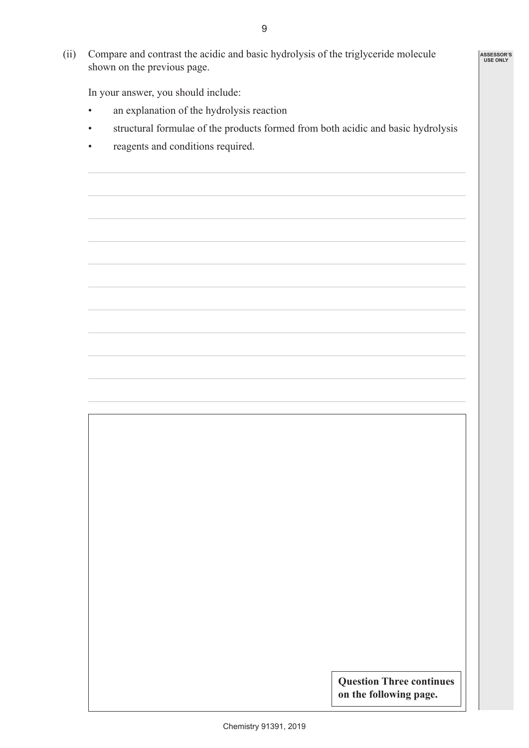(ii) Compare and contrast the acidic and basic hydrolysis of the triglyceride molecule shown on the previous page.

In your answer, you should include:

- an explanation of the hydrolysis reaction
- structural formulae of the products formed from both acidic and basic hydrolysis
- reagents and conditions required.

**Question Three continues on the following page.**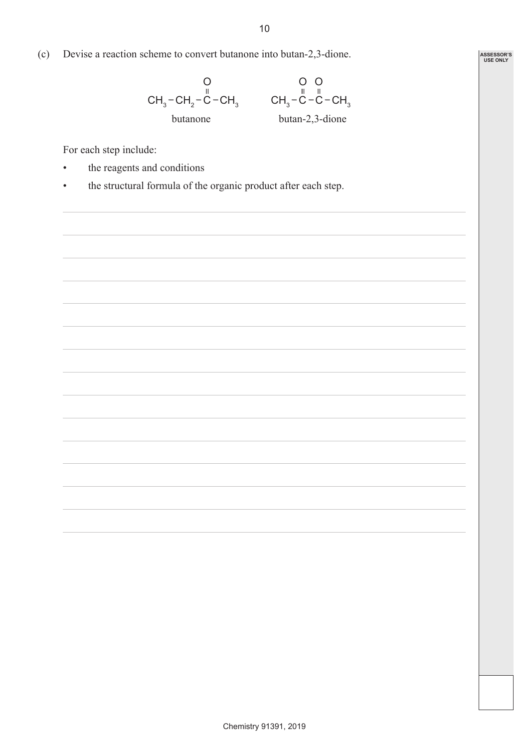(c) Devise a reaction scheme to convert butanone into butan-2,3-dione.

$$
\begin{array}{ccc}\n & O & O & O \\
CH_3-CH_2-C-CH_3 & CH_3-C-C-CH_3 \\
butanone & butan-2,3-dione\n\end{array}
$$

For each step include:

- the reagents and conditions
- the structural formula of the organic product after each step.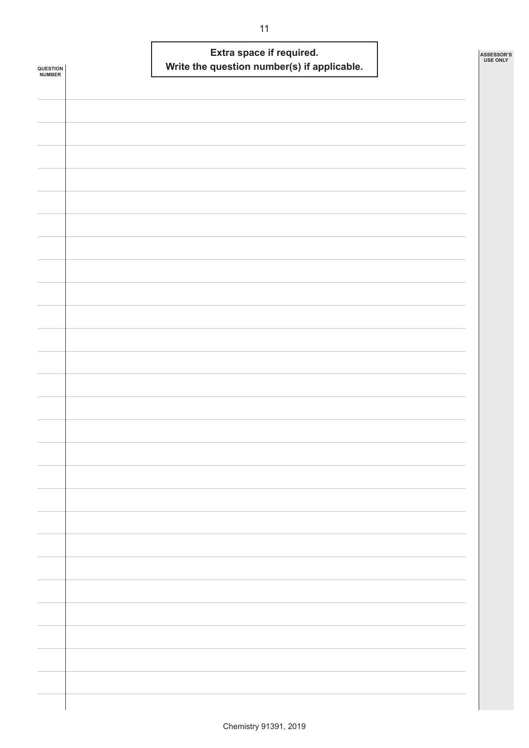| <b>QUESTION<br/>NUMBER</b> | Extra space if required.<br>Write the question number(s) if applicable. | ASSESSOR'S<br><b>USE ONLY</b> |
|----------------------------|-------------------------------------------------------------------------|-------------------------------|
|                            |                                                                         |                               |
|                            |                                                                         |                               |
|                            |                                                                         |                               |
|                            |                                                                         |                               |
|                            |                                                                         |                               |
|                            |                                                                         |                               |
|                            |                                                                         |                               |
|                            |                                                                         |                               |
|                            |                                                                         |                               |
|                            |                                                                         |                               |
|                            |                                                                         |                               |
|                            |                                                                         |                               |
|                            |                                                                         |                               |
|                            |                                                                         |                               |